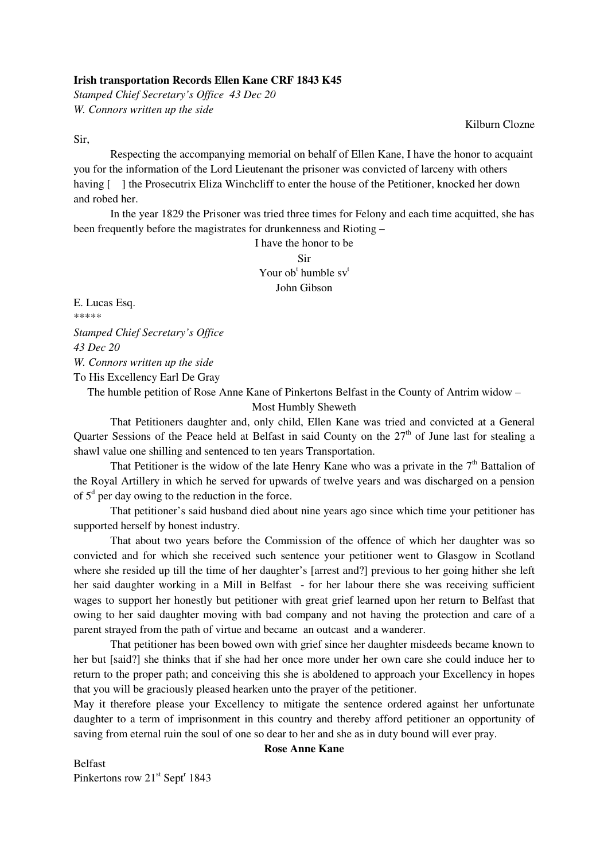## **Irish transportation Records Ellen Kane CRF 1843 K45**

*Stamped Chief Secretary's Office 43 Dec 20 W. Connors written up the side* 

Kilburn Clozne

Sir,

 Respecting the accompanying memorial on behalf of Ellen Kane, I have the honor to acquaint you for the information of the Lord Lieutenant the prisoner was convicted of larceny with others having  $\lceil \cdot \rceil$  the Prosecutrix Eliza Winchcliff to enter the house of the Petitioner, knocked her down and robed her.

 In the year 1829 the Prisoner was tried three times for Felony and each time acquitted, she has been frequently before the magistrates for drunkenness and Rioting –

> I have the honor to be Sir Your ob<sup>t</sup> humble sv<sup>t</sup> John Gibson

E. Lucas Esq. \*\*\*\*\* *Stamped Chief Secretary's Office 43 Dec 20 W. Connors written up the side*  To His Excellency Earl De Gray

The humble petition of Rose Anne Kane of Pinkertons Belfast in the County of Antrim widow – Most Humbly Sheweth

 That Petitioners daughter and, only child, Ellen Kane was tried and convicted at a General Quarter Sessions of the Peace held at Belfast in said County on the  $27<sup>th</sup>$  of June last for stealing a shawl value one shilling and sentenced to ten years Transportation.

That Petitioner is the widow of the late Henry Kane who was a private in the  $7<sup>th</sup>$  Battalion of the Royal Artillery in which he served for upwards of twelve years and was discharged on a pension of  $5<sup>d</sup>$  per day owing to the reduction in the force.

 That petitioner's said husband died about nine years ago since which time your petitioner has supported herself by honest industry.

 That about two years before the Commission of the offence of which her daughter was so convicted and for which she received such sentence your petitioner went to Glasgow in Scotland where she resided up till the time of her daughter's [arrest and?] previous to her going hither she left her said daughter working in a Mill in Belfast - for her labour there she was receiving sufficient wages to support her honestly but petitioner with great grief learned upon her return to Belfast that owing to her said daughter moving with bad company and not having the protection and care of a parent strayed from the path of virtue and became an outcast and a wanderer.

 That petitioner has been bowed own with grief since her daughter misdeeds became known to her but [said?] she thinks that if she had her once more under her own care she could induce her to return to the proper path; and conceiving this she is aboldened to approach your Excellency in hopes that you will be graciously pleased hearken unto the prayer of the petitioner.

May it therefore please your Excellency to mitigate the sentence ordered against her unfortunate daughter to a term of imprisonment in this country and thereby afford petitioner an opportunity of saving from eternal ruin the soul of one so dear to her and she as in duty bound will ever pray.

## **Rose Anne Kane**

Belfast Pinkertons row  $21^{st}$  Sept<sup>r</sup> 1843